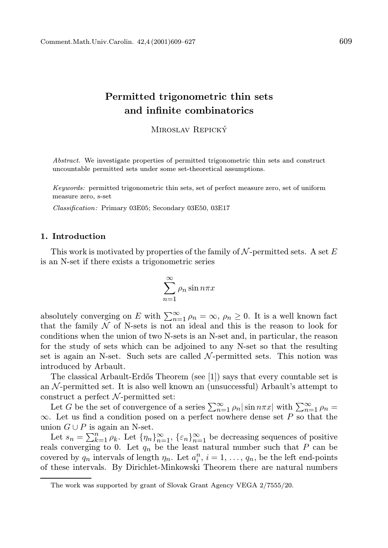## Permitted trigonometric thin sets and infinite combinatorics

MIROSLAV REPICKÝ

Abstract. We investigate properties of permitted trigonometric thin sets and construct uncountable permitted sets under some set-theoretical assumptions.

Keywords: permitted trigonometric thin sets, set of perfect measure zero, set of uniform measure zero, s-set

Classification: Primary 03E05; Secondary 03E50, 03E17

## 1. Introduction

This work is motivated by properties of the family of  $N$ -permitted sets. A set E is an N-set if there exists a trigonometric series

$$
\sum_{n=1}^{\infty} \rho_n \sin n\pi x
$$

absolutely converging on E with  $\sum_{n=1}^{\infty} \rho_n = \infty$ ,  $\rho_n \geq 0$ . It is a well known fact that the family  $N$  of N-sets is not an ideal and this is the reason to look for conditions when the union of two N-sets is an N-set and, in particular, the reason for the study of sets which can be adjoined to any N-set so that the resulting set is again an N-set. Such sets are called  $\mathcal{N}$ -permitted sets. This notion was introduced by Arbault.

The classical Arbault-Erd˝os Theorem (see [1]) says that every countable set is an  $\mathcal N$ -permitted set. It is also well known an (unsuccessful) Arbault's attempt to construct a perfect  $N$ -permitted set:

Let G be the set of convergence of a series  $\sum_{n=1}^{\infty} \rho_n |\sin n\pi x|$  with  $\sum_{n=1}^{\infty} \rho_n =$  $\infty$ . Let us find a condition posed on a perfect nowhere dense set P so that the union  $G \cup P$  is again an N-set.

Let  $s_n = \sum_{k=1}^n \rho_k$ . Let  $\{\eta_n\}_{n=1}^{\infty}$ ,  $\{\varepsilon_n\}_{n=1}^{\infty}$  be decreasing sequences of positive reals converging to 0. Let  $q_n$  be the least natural number such that P can be covered by  $q_n$  intervals of length  $\eta_n$ . Let  $a_i^n$ ,  $i = 1, \ldots, q_n$ , be the left end-points of these intervals. By Dirichlet-Minkowski Theorem there are natural numbers

The work was supported by grant of Slovak Grant Agency VEGA 2/7555/20.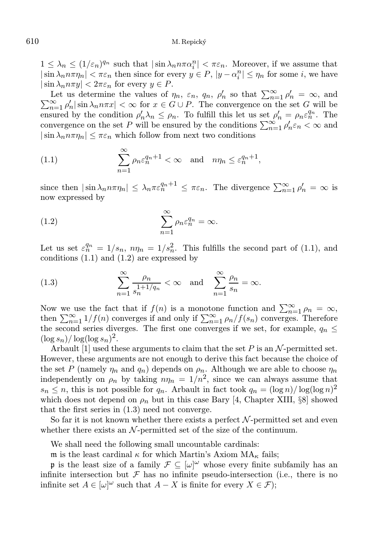$1 \leq \lambda_n \leq (1/\varepsilon_n)^{q_n}$  such that  $|\sin \lambda_n n \pi \alpha_i^n| < \pi \varepsilon_n$ . Moreover, if we assume that  $|\sin \lambda_n n \pi \eta_n| < \pi \varepsilon_n$  then since for every  $y \in P$ ,  $|y - \alpha_i^n| \leq \eta_n$  for some *i*, we have  $|\sin \lambda_n n \pi y| < 2\pi \varepsilon_n$  for every  $y \in P$ .

Let us determine the values of  $\eta_n$ ,  $\varepsilon_n$ ,  $q_n$ ,  $\rho'_n$  so that  $\sum_{n=1}^{\infty} \rho'_n$ Let us determine the values of  $\eta_n$ ,  $\varepsilon_n$ ,  $q_n$ ,  $\rho'_n$  so that  $\sum_{n=1}^{\infty} \rho'_n = \infty$ , and  $\sum_{n=1}^{\infty} \rho'_n |\sin \lambda_n n \pi x| < \infty$  for  $x \in G \cup P$ . The convergence on the set  $G$  will be ensured by the condition  $\rho'_n \lambda_n \leq \rho_n$ . To fulfill this let us set  $\rho'_n = \rho_n \varepsilon_n^{q_n}$ . The convergence on the set P will be ensured by the conditions  $\sum_{n=1}^{\infty} \rho'_n \varepsilon_n < \infty$  and  $|\sin \lambda_n n \pi \eta_n| \leq \pi \varepsilon_n$  which follow from next two conditions

(1.1) 
$$
\sum_{n=1}^{\infty} \rho_n \varepsilon_n^{q_n+1} < \infty \quad \text{and} \quad n\eta_n \leq \varepsilon_n^{q_n+1},
$$

since then  $|\sin \lambda_n n \pi \eta_n| \leq \lambda_n \pi \varepsilon_n^{q_n+1} \leq \pi \varepsilon_n$ . The divergence  $\sum_{n=1}^{\infty} \rho'_n = \infty$  is now expressed by

(1.2) 
$$
\sum_{n=1}^{\infty} \rho_n \varepsilon_n^{q_n} = \infty.
$$

Let us set  $\varepsilon_n^{q_n} = 1/s_n$ ,  $n\eta_n = 1/s_n^2$ . This fulfills the second part of (1.1), and conditions (1.1) and (1.2) are expressed by

(1.3) 
$$
\sum_{n=1}^{\infty} \frac{\rho_n}{s_n^{1+1/q_n}} < \infty \text{ and } \sum_{n=1}^{\infty} \frac{\rho_n}{s_n} = \infty.
$$

Now we use the fact that if  $f(n)$  is a monotone function and  $\sum_{n=1}^{\infty} \rho_n = \infty$ , then  $\sum_{n=1}^{\infty} 1/f(n)$  converges if and only if  $\sum_{n=1}^{\infty} \rho_n/f(s_n)$  converges. Therefore the second series diverges. The first one converges if we set, for example,  $q_n \leq$  $(\log s_n)/\log(\log s_n)^2$ .

Arbault [1] used these arguments to claim that the set  $P$  is an  $N$ -permitted set. However, these arguments are not enough to derive this fact because the choice of the set P (namely  $\eta_n$  and  $q_n$ ) depends on  $\rho_n$ . Although we are able to choose  $\eta_n$ independently on  $\rho_n$  by taking  $n\eta_n = 1/n^2$ , since we can always assume that  $s_n \leq n$ , this is not possible for  $q_n$ . Arbault in fact took  $q_n = (\log n)/\log(\log n)^2$ which does not depend on  $\rho_n$  but in this case Bary [4, Chapter XIII, §8] showed that the first series in (1.3) need not converge.

So far it is not known whether there exists a perfect  $\mathcal{N}$ -permitted set and even whether there exists an  $N$ -permitted set of the size of the continuum.

We shall need the following small uncountable cardinals:

m is the least cardinal  $\kappa$  for which Martin's Axiom  $MA_{\kappa}$  fails;

p is the least size of a family  $\mathcal{F} \subseteq [\omega]^\omega$  whose every finite subfamily has an infinite intersection but  $\mathcal F$  has no infinite pseudo-intersection (i.e., there is no infinite set  $A \in [\omega]^\omega$  such that  $A - X$  is finite for every  $X \in \mathcal{F}$ ;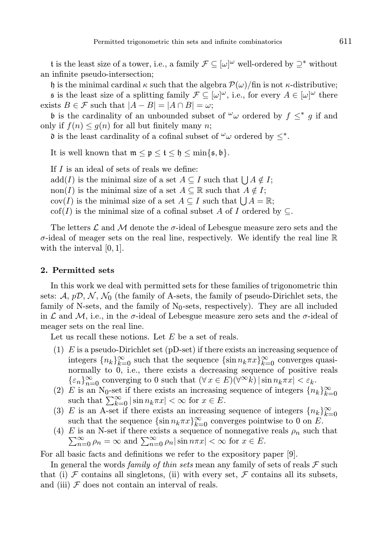t is the least size of a tower, i.e., a family  $\mathcal{F} \subseteq [\omega]^\omega$  well-ordered by  $\supseteq^*$  without an infinite pseudo-intersection;

h is the minimal cardinal  $\kappa$  such that the algebra  $\mathcal{P}(\omega)/\text{fin}$  is not  $\kappa$ -distributive;

**s** is the least size of a splitting family  $\mathcal{F} \subseteq [\omega]^\omega$ , i.e., for every  $A \in [\omega]^\omega$  there exists  $B \in \mathcal{F}$  such that  $|A - B| = |A \cap B| = \omega$ ;

b is the cardinality of an unbounded subset of  $\omega$  ordered by  $f \leq^* g$  if and only if  $f(n) \leq g(n)$  for all but finitely many n;

 $\mathfrak d$  is the least cardinality of a cofinal subset of  $\omega_{\omega}$  ordered by  $\leq^*$ .

It is well known that  $\mathfrak{m} \leq \mathfrak{p} \leq \mathfrak{t} \leq \mathfrak{h} \leq \min\{\mathfrak{s},\mathfrak{b}\}.$ 

If I is an ideal of sets of reals we define:

 $add(I)$  is the minimal size of a set  $A \subseteq I$  such that  $\bigcup A \notin I$ ;

non(I) is the minimal size of a set  $A \subseteq \mathbb{R}$  such that  $A \notin I$ ;

 $cov(I)$  is the minimal size of a set  $A \subseteq I$  such that  $\bigcup A = \mathbb{R}$ ;

cof(I) is the minimal size of a cofinal subset A of I ordered by  $\subset$ .

The letters  $\mathcal L$  and  $\mathcal M$  denote the  $\sigma$ -ideal of Lebesgue measure zero sets and the  $\sigma$ -ideal of meager sets on the real line, respectively. We identify the real line  $\mathbb R$ with the interval  $[0, 1]$ .

## 2. Permitted sets

In this work we deal with permitted sets for these families of trigonometric thin sets:  $\mathcal{A}, p\mathcal{D}, \mathcal{N}, \mathcal{N}_0$  (the family of A-sets, the family of pseudo-Dirichlet sets, the family of N-sets, and the family of  $N_0$ -sets, respectively). They are all included in L and M, i.e., in the  $\sigma$ -ideal of Lebesgue measure zero sets and the  $\sigma$ -ideal of meager sets on the real line.

Let us recall these notions. Let  $E$  be a set of reals.

- (1)  $E$  is a pseudo-Dirichlet set (pD-set) if there exists an increasing sequence of integers  ${n_k}_{k=0}^{\infty}$  such that the sequence  $\{\sin n_k \pi x\}_{k=0}^{\infty}$  converges quasinormally to  $0$ , i.e., there exists a decreasing sequence of positive reals  $\{\varepsilon_n\}_{n=0}^\infty \text{ converging to } 0 \text{ such that } (\forall\,x\in E)(\forall^\infty k)\,|\sin n_k\pi x| < \varepsilon_k.$
- (2) E is an N<sub>0</sub>-set if there exists an increasing sequence of integers  ${n_k}_{k=0}^{\infty}$ such that  $\sum_{k=0}^{\infty} |\sin n_k \pi x| < \infty$  for  $x \in E$ .
- (3) E is an A-set if there exists an increasing sequence of integers  ${n_k}_{k=0}^{\infty}$ such that the sequence  $\{\sin n_k \pi x\}_{k=0}^{\infty}$  converges pointwise to 0 on E.
- (4) E is an N-set if there exists a sequence of nonnegative reals  $\rho_n$  such that  $\sum_{n=0}^{\infty} \rho_n = \infty$  and  $\sum_{n=0}^{\infty} \rho_n |\sin n\pi x| < \infty$  for  $x \in E$ .

For all basic facts and definitions we refer to the expository paper [9].

In general the words *family of thin sets* mean any family of sets of reals  $\mathcal F$  such that (i)  $\mathcal F$  contains all singletons, (ii) with every set,  $\mathcal F$  contains all its subsets, and (iii)  $\mathcal F$  does not contain an interval of reals.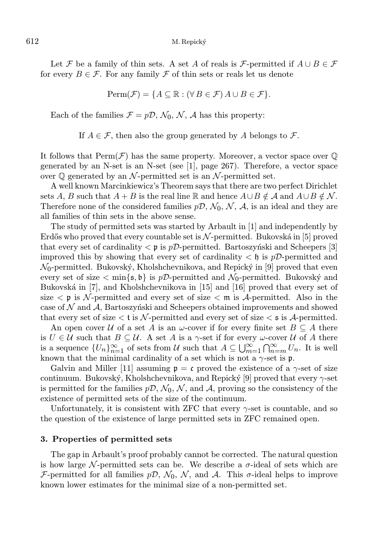Let F be a family of thin sets. A set A of reals is F-permitted if  $A \cup B \in \mathcal{F}$ for every  $B \in \mathcal{F}$ . For any family  $\mathcal F$  of thin sets or reals let us denote

$$
\text{Perm}(\mathcal{F}) = \{ A \subseteq \mathbb{R} : (\forall B \in \mathcal{F}) A \cup B \in \mathcal{F} \}.
$$

Each of the families  $\mathcal{F} = p\mathcal{D}, \mathcal{N}_0, \mathcal{N}, \mathcal{A}$  has this property:

If  $A \in \mathcal{F}$ , then also the group generated by A belongs to  $\mathcal{F}$ .

It follows that  $\text{Perm}(\mathcal{F})$  has the same property. Moreover, a vector space over  $\mathbb Q$ generated by an N-set is an N-set (see [1], page 267). Therefore, a vector space over  $\mathbb Q$  generated by an N-permitted set is an N-permitted set.

A well known Marcinkiewicz's Theorem says that there are two perfect Dirichlet sets A, B such that  $A + B$  is the real line R and hence  $A \cup B \notin \mathcal{A}$  and  $A \cup B \notin \mathcal{N}$ . Therefore none of the considered families  $p\mathcal{D}, \mathcal{N}_0, \mathcal{N}, \mathcal{A}$ , is an ideal and they are all families of thin sets in the above sense.

The study of permitted sets was started by Arbault in [1] and independently by Erdős who proved that every countable set is  $\mathcal{N}$ -permitted. Bukovská in [5] proved that every set of cardinality  $\langle \mathfrak{p} \rangle$  is pD-permitted. Bartoszyński and Scheepers [3] improved this by showing that every set of cardinality  $\lt \mathfrak{h}$  is pD-permitted and  $\mathcal{N}_0$ -permitted. Bukovský, Kholshchevnikova, and Repický in [9] proved that even every set of size  $\langle \min\{s, \mathfrak{b}\}\rangle$  is pD-permitted and  $\mathcal{N}_0$ -permitted. Bukovský and Bukovská in [7], and Kholshchevnikova in [15] and [16] proved that every set of size  $\lt p$  is N-permitted and every set of size  $\lt m$  is A-permitted. Also in the case of  $\mathcal N$  and  $\mathcal A$ , Bartoszyński and Scheepers obtained improvements and showed that every set of size  $\lt t$  is N-permitted and every set of size  $\lt s$  is A-permitted.

An open cover U of a set A is an  $\omega$ -cover if for every finite set  $B \subseteq A$  there is  $U \in \mathcal{U}$  such that  $B \subseteq \mathcal{U}$ . A set A is a  $\gamma$ -set if for every  $\omega$ -cover U of A there is a sequence  $\{U_n\}_{n=1}^{\infty}$  of sets from U such that  $A \subseteq \bigcup_{m=1}^{\infty} \bigcap_{n=m}^{\infty} U_n$ . It is well known that the minimal cardinality of a set which is not a  $\gamma$ -set is p.

Galvin and Miller [11] assuming  $p = c$  proved the existence of a  $\gamma$ -set of size continuum. Bukovský, Kholshchevnikova, and Repický  $[9]$  proved that every  $\gamma$ -set is permitted for the families  $p\mathcal{D}, \mathcal{N}_0, \mathcal{N}$ , and A, proving so the consistency of the existence of permitted sets of the size of the continuum.

Unfortunately, it is consistent with ZFC that every  $\gamma$ -set is countable, and so the question of the existence of large permitted sets in ZFC remained open.

## 3. Properties of permitted sets

The gap in Arbault's proof probably cannot be corrected. The natural question is how large N-permitted sets can be. We describe a  $\sigma$ -ideal of sets which are F-permitted for all families  $p\mathcal{D}, \mathcal{N}_0, \mathcal{N},$  and A. This  $\sigma$ -ideal helps to improve known lower estimates for the minimal size of a non-permitted set.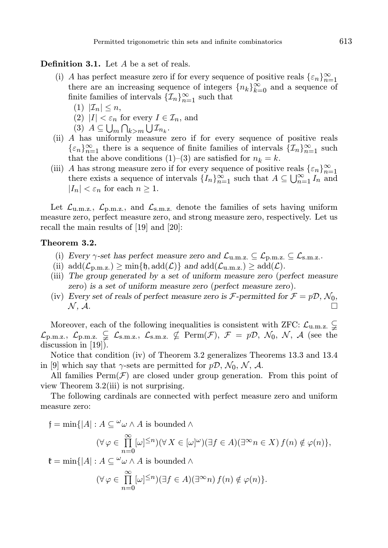## Definition 3.1. Let A be a set of reals.

- (i) A has perfect measure zero if for every sequence of positive reals  $\{\varepsilon_n\}_{n=1}^{\infty}$ there are an increasing sequence of integers  ${n_k}_{k=0}^{\infty}$  and a sequence of finite families of intervals  $\{\mathcal{I}_n\}_{n=1}^{\infty}$  such that
	- (1)  $|\mathcal{I}_n| \leq n$ ,
	- (2)  $|I| < \varepsilon_n$  for every  $I \in \mathcal{I}_n$ , and
	- (3)  $A \subseteq \bigcup_m \bigcap_{k>m} \bigcup \mathcal{I}_{n_k}.$
- (ii) A has uniformly measure zero if for every sequence of positive reals  $\{\varepsilon_n\}_{n=1}^{\infty}$  there is a sequence of finite families of intervals  $\{\mathcal{I}_n\}_{n=1}^{\infty}$  such that the above conditions (1)–(3) are satisfied for  $n_k = k$ .
- (iii) A has strong measure zero if for every sequence of positive reals  $\{\varepsilon_n\}_{n=1}^{\infty}$ there exists a sequence of intervals  $\{I_n\}_{n=1}^{\infty}$  such that  $A \subseteq \bigcup_{n=1}^{\infty} I_n$  and  $|I_n| < \varepsilon_n$  for each  $n \geq 1$ .

Let  $\mathcal{L}_{u,m,z}$ ,  $\mathcal{L}_{p,m,z}$ , and  $\mathcal{L}_{s,m,z}$  denote the families of sets having uniform measure zero, perfect measure zero, and strong measure zero, respectively. Let us recall the main results of [19] and [20]:

## Theorem 3.2.

- (i) Every  $\gamma$ -set has perfect measure zero and  $\mathcal{L}_{u.m.z.} \subseteq \mathcal{L}_{p.m.z.} \subseteq \mathcal{L}_{s.m.z.}$ .
- (ii)  $\text{add}(\mathcal{L}_{p,m,z}) \ge \min\{\mathfrak{h}, \text{add}(\mathcal{L})\}\$  and  $\text{add}(\mathcal{L}_{u,m,z}) \ge \text{add}(\mathcal{L})\$ .
- (iii) The group generated by a set of uniform measure zero (perfect measure zero) is a set of uniform measure zero (perfect measure zero).
- (iv) Every set of reals of perfect measure zero is  $\mathcal{F}\text{-}{\rm permitted}$  for  $\mathcal{F} = p\mathcal{D}, \mathcal{N}_0$ ,  $\mathcal{N}, \mathcal{A}.$

Moreover, each of the following inequalities is consistent with ZFC:  $\mathcal{L}_{u.m.z.} \subsetneq$  $\mathcal{L}_{p,m,z}$ ,  $\mathcal{L}_{p,m,z}$ ,  $\mathcal{L}_{s,m,z}$ ,  $\mathcal{L}_{s,m,z}$ ,  $\mathcal{L}_{s,m,z}$ ,  $\mathcal{L}_{p,m,z}$  Perm $(\mathcal{F})$ ,  $\mathcal{F} = p\mathcal{D}$ ,  $\mathcal{N}_0$ ,  $\mathcal{N}$ ,  $\mathcal{A}$  (see the discussion in [19]).

Notice that condition (iv) of Theorem 3.2 generalizes Theorems 13.3 and 13.4 in [9] which say that  $\gamma$ -sets are permitted for  $p\mathcal{D}, \mathcal{N}_0, \mathcal{N}, \mathcal{A}$ .

All families  $\text{Perm}(\mathcal{F})$  are closed under group generation. From this point of view Theorem 3.2(iii) is not surprising.

The following cardinals are connected with perfect measure zero and uniform measure zero:

 $f = \min\{|A| : A \subseteq \omega \wedge A$  is bounded  $\wedge$  $(\forall \varphi \in \prod^{\infty}$  $n=0$  $[\omega]^{\leq n}$  $(\forall X \in [\omega]^\omega)$  $(\exists f \in A)$  $(\exists^\infty n \in X)$  $f(n) \notin \varphi(n)$ },  $\mathfrak{k} = \min\{|A| : A \subseteq \omega \wedge A$  is bounded ∧

$$
(\forall \varphi \in \prod_{n=0}^{\infty} [\omega]^{\leq n})(\exists f \in A)(\exists^{\infty} n) f(n) \notin \varphi(n)\}.
$$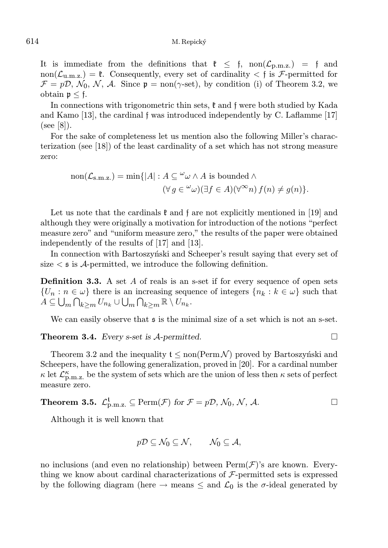It is immediate from the definitions that  $\mathfrak{k} \leq \mathfrak{f}$ , non $(\mathcal{L}_{p,m,z}) = \mathfrak{f}$  and non( $\mathcal{L}_{u,m,z}$ ) =  $\mathfrak{k}$ . Consequently, every set of cardinality  $\lt$  f is  $\mathcal{F}$ -permitted for  $\mathcal{F} = p\mathcal{D}, \mathcal{N}_0, \mathcal{N}, \mathcal{A}$ . Since  $p = \text{non}(\gamma\text{-set})$ , by condition (i) of Theorem 3.2, we obtain  $\mathfrak{p} \leq \mathfrak{f}$ .

In connections with trigonometric thin sets,  $\mathfrak k$  and  $\mathfrak f$  were both studied by Kada and Kamo [13], the cardinal f was introduced independently by C. Laflamme [17] (see [8]).

For the sake of completeness let us mention also the following Miller's characterization (see [18]) of the least cardinality of a set which has not strong measure zero:

non(
$$
\mathcal{L}_{s.m.z.}
$$
) = min{ $|A|$  :  $A \subseteq \omega \wedge A$  is bounded  $\wedge$   
\n $(\forall g \in \omega \omega)(\exists f \in A)(\forall^{\infty} n) f(n) \neq g(n)$ }

Let us note that the cardinals  $\mathfrak k$  and f are not explicitly mentioned in [19] and although they were originally a motivation for introduction of the notions "perfect measure zero" and "uniform measure zero," the results of the paper were obtained independently of the results of [17] and [13].

In connection with Bartoszyn's ki and Scheeper's result saying that every set of size  $\lt s$  is A-permitted, we introduce the following definition.

**Definition 3.3.** A set A of reals is an s-set if for every sequence of open sets  ${U_n : n \in \omega}$  there is an increasing sequence of integers  ${n_k : k \in \omega}$  such that  $A\subseteq\bigcup_m\bigcap_{k\geq m}U_{n_k}\cup\bigcup_m\bigcap_{k\geq m}\mathbb{R}\setminus U_{n_k}.$ 

We can easily observe that  $\frak s$  is the minimal size of a set which is not an s-set.

## **Theorem 3.4.** Every s-set is  $\mathcal{A}$ -permitted.

Theorem 3.2 and the inequality  $t \leq \text{non}(\text{Perm}\mathcal{N})$  proved by Bartoszynski and Scheepers, have the following generalization, proved in [20]. For a cardinal number  $\kappa$  let  $\mathcal{L}^{\kappa}_{p,m.z}$  be the system of sets which are the union of less then  $\kappa$  sets of perfect measure zero.

# **Theorem 3.5.**  $\mathcal{L}_{p,m,z.}^{\mathbf{t}} \subseteq \text{Perm}(\mathcal{F})$  for  $\mathcal{F} = p\mathcal{D}, \mathcal{N}_0, \mathcal{N}, \mathcal{A}.$

Although it is well known that

$$
p\mathcal{D}\subseteq\mathcal{N}_0\subseteq\mathcal{N},\qquad\mathcal{N}_0\subseteq\mathcal{A},
$$

no inclusions (and even no relationship) between  $\text{Perm}(\mathcal{F})$ 's are known. Everything we know about cardinal characterizations of  $\mathcal{F}\text{-permitted sets}$  is expressed by the following diagram (here  $\rightarrow$  means  $\leq$  and  $\mathcal{L}_0$  is the  $\sigma$ -ideal generated by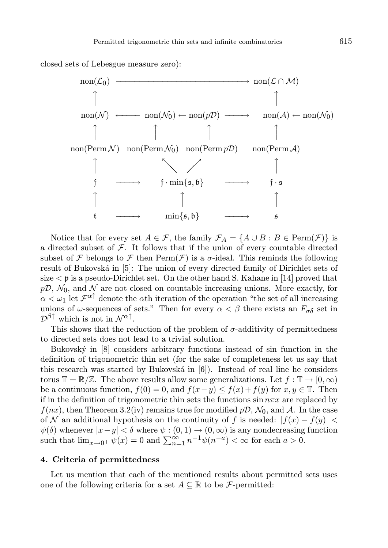closed sets of Lebesgue measure zero):



Notice that for every set  $A \in \mathcal{F}$ , the family  $\mathcal{F}_A = \{A \cup B : B \in \text{Perm}(\mathcal{F})\}$  is a directed subset of  $F$ . It follows that if the union of every countable directed subset of F belongs to F then  $\text{Perm}(\mathcal{F})$  is a  $\sigma$ -ideal. This reminds the following result of Bukovská in [5]: The union of every directed family of Dirichlet sets of size  $\lt$  p is a pseudo-Dirichlet set. On the other hand S. Kahane in [14] proved that  $p\mathcal{D}, \mathcal{N}_0$ , and  $\mathcal N$  are not closed on countable increasing unions. More exactly, for  $\alpha < \omega_1$  let  $\mathcal{F}^{\alpha \uparrow}$  denote the  $\alpha$ th iteration of the operation "the set of all increasing unions of  $\omega$ -sequences of sets." Then for every  $\alpha < \beta$  there exists an  $F_{\sigma \delta}$  set in  $\mathcal{D}^{\beta\uparrow}$  which is not in  $\mathcal{N}^{\alpha\uparrow}$ .

This shows that the reduction of the problem of  $\sigma$ -additivity of permittedness to directed sets does not lead to a trivial solution.

Bukovský in [8] considers arbitrary functions instead of sin function in the definition of trigonometric thin set (for the sake of completeness let us say that this research was started by Bukovská in  $[6]$ ). Instead of real line he considers torus  $\mathbb{T} = \mathbb{R}/\mathbb{Z}$ . The above results allow some generalizations. Let  $f : \mathbb{T} \to [0, \infty)$ be a continuous function,  $f(0) = 0$ , and  $f(x-y) \leq f(x) + f(y)$  for  $x, y \in \mathbb{T}$ . Then if in the definition of trigonometric thin sets the functions  $\sin n\pi x$  are replaced by  $f(nx)$ , then Theorem 3.2(iv) remains true for modified  $p\mathcal{D}, \mathcal{N}_0$ , and A. In the case of N an additional hypothesis on the continuity of f is needed:  $|f(x) - f(y)|$  $\psi(\delta)$  whenever  $|x-y| < \delta$  where  $\psi : (0,1) \to (0,\infty)$  is any nondecreasing function such that  $\lim_{x\to 0^+} \psi(x) = 0$  and  $\sum_{n=1}^{\infty} n^{-1} \psi(n^{-a}) < \infty$  for each  $a > 0$ .

## 4. Criteria of permittedness

Let us mention that each of the mentioned results about permitted sets uses one of the following criteria for a set  $A \subseteq \mathbb{R}$  to be *F*-permitted: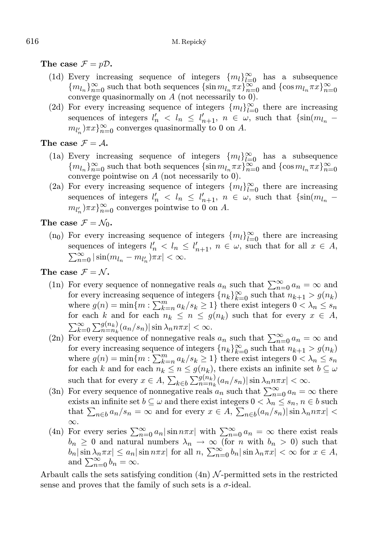The case  $\mathcal{F} = p\mathcal{D}$ .

- (1d) Every increasing sequence of integers  $\{m_l\}_{l=0}^{\infty}$  has a subsequence  ${m_{l_n}}_{n=0}^{\infty}$  such that both sequences  ${\sin m_{l_n}}_{\pi} x$ ,  ${\cos m_{l_n}}_{\pi} x$ ,  ${\cos m_{l_n}}_{\pi} x$ ,  ${\cos m_{l_n}}_{\pi} x$ converge quasinormally on A (not necessarily to 0).
- (2d) For every increasing sequence of integers  ${m_l}_{l=0}^{\infty}$  there are increasing sequences of integers  $l'_n$  <  $l_n \leq l'_{n+1}$ ,  $n \in \omega$ , such that  $\{\sin(m_{l_n}$  $m_{l'_n}$ ) $\pi x$ } $_{n=0}^{\infty}$  converges quasinormally to 0 on A.

## The case  $\mathcal{F} = \mathcal{A}$ .

- (1a) Every increasing sequence of integers  $\{m_l\}_{l=0}^{\infty}$  has a subsequence  ${m_{l_n}}_{n=0}^{\infty}$  such that both sequences  ${\sin m_{l_n}}_{\pi} \pi$   ${\cos m_{l_n}}_{\pi} \pi$  and  ${\cos m_{l_n}}_{\pi} \pi$   ${\cos m_{l_n}}$ converge pointwise on A (not necessarily to 0).
- (2a) For every increasing sequence of integers  ${m_l}_{l=0}^{\infty}$  there are increasing sequences of integers  $l'_n \, < l_n \leq l'_{n+1}, n \in \omega$ , such that  $\{\sin(m_{l_n}$  $m_{l'_n}$ ) $\pi x$ } $_{n=0}^{\infty}$  converges pointwise to 0 on A.

The case  $\mathcal{F} = \mathcal{N}_0$ .

(n<sub>0</sub>) For every increasing sequence of integers  ${m_l}_{l=0}^{\infty}$  there are increasing sequences of integers  $l'_n < l_n \leq l'_{n+1}$ ,  $n \in \omega$ , such that for all  $x \in A$ ,  $\sum_{n=0}^{\infty} |\sin(m_{l_n} - m_{l'_n})\pi x| < \infty.$ 

The case  $\mathcal{F} = \mathcal{N}$ .

- (1n) For every sequence of nonnegative reals  $a_n$  such that  $\sum_{n=0}^{\infty} a_n = \infty$  and for every increasing sequence of integers  ${n_k}_{k=0}^{\infty}$  such that  $n_{k+1} > g(n_k)$ where  $g(n) = \min\{m : \sum_{k=n}^{m} a_k/s_k \geq 1\}$  there exist integers  $0 < \lambda_n \leq s_n$ for each k and for each  $n_k \leq n \leq g(n_k)$  such that for every  $x \in A$ ,  $\sum_{k=0}^{\infty} \sum_{n=n_k}^{g(n_k)} (a_n/s_n) |\sin \lambda_n n \pi x| < \infty.$
- (2n) For every sequence of nonnegative reals  $a_n$  such that  $\sum_{n=0}^{\infty} a_n = \infty$  and for every increasing sequence of integers  ${n_k}_{k=0}^{\infty}$  such that  $n_{k+1} > g(n_k)$ where  $g(n) = \min\{m : \sum_{k=n}^{m} a_k / s_k \ge 1\}$  there exist integers  $0 < \lambda_n \le s_n$ for each k and for each  $n_k \leq n \leq g(n_k)$ , there exists an infinite set  $b \subseteq \omega$ such that for every  $x \in A$ ,  $\sum_{k \in b} \sum_{n=n_k}^{g(n_k)} (a_n/s_n) |\sin \lambda_n n \pi x| < \infty$ .
- (3n) For every sequence of nonnegative reals  $a_n$  such that  $\sum_{n=0}^{\infty} a_n = \infty$  there exists an infinite set  $b \subseteq \omega$  and there exist integers  $0 < \lambda_n \leq s_n, n \in b$  such that  $\sum_{n\in b} a_n/s_n = \infty$  and for every  $x \in A$ ,  $\sum_{n\in b} (a_n/s_n) |\sin \lambda_n n \pi x|$ ∞.
- (4n) For every series  $\sum_{n=0}^{\infty} a_n |\sin n\pi x|$  with  $\sum_{n=0}^{\infty} a_n = \infty$  there exist reals  $b_n \geq 0$  and natural numbers  $\lambda_n \to \infty$  (for n with  $b_n > 0$ ) such that  $|b_n|\sin\lambda_n\pi x|\leq a_n|\sin n\pi x|$  for all  $n, \sum_{n=0}^{\infty} b_n|\sin\lambda_n\pi x| < \infty$  for  $x\in A$ , and  $\sum_{n=0}^{\infty} b_n = \infty$ .

Arbault calls the sets satisfying condition  $(4n)$  N-permitted sets in the restricted sense and proves that the family of such sets is a  $\sigma$ -ideal.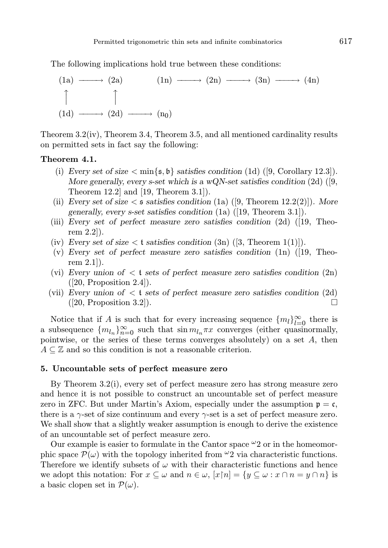The following implications hold true between these conditions:



Theorem 3.2(iv), Theorem 3.4, Theorem 3.5, and all mentioned cardinality results on permitted sets in fact say the following:

## Theorem 4.1.

- (i) Every set of size  $\langle \text{min}\{\mathfrak{s},\mathfrak{b}\}\rangle$  satisfies condition (1d) ([9, Corollary 12.3]). More generally, every s-set which is a wQN-set satisfies condition  $(2d)$  ([9, Theorem 12.2] and [19, Theorem 3.1]).
- (ii) Every set of size  $\leq$  s satisfies condition (1a) ([9, Theorem 12.2(2)]). More generally, every s-set satisfies condition (1a) ([19, Theorem 3.1]).
- (iii) Every set of perfect measure zero satisfies condition (2d) ([19, Theorem 2.2]).
- (iv) Every set of size  $\lt t$  satisfies condition  $(3n)$  ([3, Theorem 1(1)]).
- (v) Every set of perfect measure zero satisfies condition  $(1n)$  ([19, Theorem 2.1]).
- (vi) Every union of  $\lt t$  sets of perfect measure zero satisfies condition  $(2n)$  $([20, Proposition 2.4]).$
- (vii) Every union of  $\lt t$  sets of perfect measure zero satisfies condition (2d)  $(20, \text{Proposition 3.2})$ .

Notice that if A is such that for every increasing sequence  $\{m_l\}_{l=0}^{\infty}$  there is a subsequence  ${m_{l_n}}_{n=0}^{\infty}$  such that  $\sin m_{l_n}\pi x$  converges (either quasinormally, pointwise, or the series of these terms converges absolutely) on a set  $A$ , then  $A \subseteq \mathbb{Z}$  and so this condition is not a reasonable criterion.

## 5. Uncountable sets of perfect measure zero

By Theorem 3.2(i), every set of perfect measure zero has strong measure zero and hence it is not possible to construct an uncountable set of perfect measure zero in ZFC. But under Martin's Axiom, especially under the assumption  $p = c$ , there is a  $\gamma$ -set of size continuum and every  $\gamma$ -set is a set of perfect measure zero. We shall show that a slightly weaker assumption is enough to derive the existence of an uncountable set of perfect measure zero.

Our example is easier to formulate in the Cantor space  $\omega_2$  or in the homeomorphic space  $\mathcal{P}(\omega)$  with the topology inherited from  $\omega$ 2 via characteristic functions. Therefore we identify subsets of  $\omega$  with their characteristic functions and hence we adopt this notation: For  $x \subseteq \omega$  and  $n \in \omega$ ,  $[x \mid n] = \{y \subseteq \omega : x \cap n = y \cap n\}$  is a basic clopen set in  $\mathcal{P}(\omega)$ .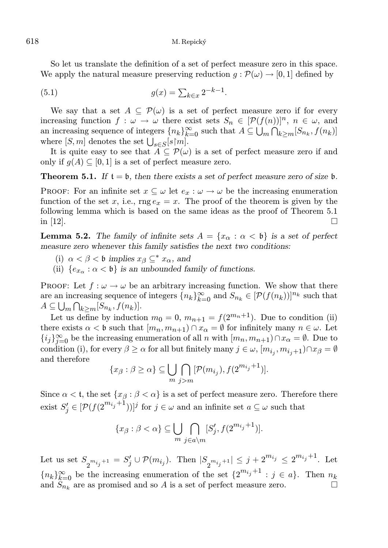So let us translate the definition of a set of perfect measure zero in this space. We apply the natural measure preserving reduction  $q : \mathcal{P}(\omega) \to [0, 1]$  defined by

(5.1) 
$$
g(x) = \sum_{k \in x} 2^{-k-1}.
$$

We say that a set  $A \subseteq \mathcal{P}(\omega)$  is a set of perfect measure zero if for every increasing function  $f : \omega \to \omega$  there exist sets  $S_n \in [\mathcal{P}(f(n))]^n$ ,  $n \in \omega$ , and an increasing sequence of integers  $\{n_k\}_{k=0}^{\infty}$  such that  $A \subseteq \bigcup_m \bigcap_{k \ge m} [S_{n_k}, f(n_k)]$ where  $[S, m]$  denotes the set  $\bigcup_{s \in S} [s \upharpoonright m]$ .

It is quite easy to see that  $A \subseteq \mathcal{P}(\omega)$  is a set of perfect measure zero if and only if  $q(A) \subseteq [0, 1]$  is a set of perfect measure zero.

**Theorem 5.1.** If  $t = \mathfrak{b}$ , then there exists a set of perfect measure zero of size  $\mathfrak{b}$ .

PROOF: For an infinite set  $x \subseteq \omega$  let  $e_x : \omega \to \omega$  be the increasing enumeration function of the set x, i.e.,  $\text{rng } e_x = x$ . The proof of the theorem is given by the following lemma which is based on the same ideas as the proof of Theorem 5.1 in [12].

**Lemma 5.2.** The family of infinite sets  $A = \{x_\alpha : \alpha < \mathfrak{b}\}\)$  is a set of perfect measure zero whenever this family satisfies the next two conditions:

- (i)  $\alpha < \beta < \mathfrak{b}$  implies  $x_{\beta} \subseteq^* x_{\alpha}$ , and
- (ii)  $\{e_{x_\alpha} : \alpha < \mathfrak{b}\}\$ is an unbounded family of functions.

PROOF: Let  $f: \omega \to \omega$  be an arbitrary increasing function. We show that there are an increasing sequence of integers  ${n_k}_{k=0}^{\infty}$  and  $S_{n_k} \in [\mathcal{P}(f(n_k))]^{n_k}$  such that  $A \subseteq \bigcup_m \bigcap_{k \geq m} [S_{n_k}, f(n_k)].$ 

Let us define by induction  $m_0 = 0$ ,  $m_{n+1} = f(2^{m_n+1})$ . Due to condition (ii) there exists  $\alpha < \mathfrak{b}$  such that  $[m_n, m_{n+1}) \cap x_\alpha = \emptyset$  for infinitely many  $n \in \omega$ . Let  ${i_j}_{j=0}^{\infty}$  be the increasing enumeration of all n with  $[m_n, m_{n+1}) \cap x_{\alpha} = \emptyset$ . Due to condition (i), for every  $\beta \geq \alpha$  for all but finitely many  $j \in \omega, [m_{i_j}, m_{i_j+1}) \cap x_\beta = \emptyset$ and therefore

$$
\{x_{\beta} : \beta \ge \alpha\} \subseteq \bigcup_{m} \bigcap_{j>m} [\mathcal{P}(m_{i_j}), f(2^{m_{i_j}+1})].
$$

Since  $\alpha < t$ , the set  $\{x_\beta : \beta < \alpha\}$  is a set of perfect measure zero. Therefore there exist  $S'_{j} \in [P(f(2^{m_{i_j}+1}))]^j$  for  $j \in \omega$  and an infinite set  $a \subseteq \omega$  such that

$$
\{x_{\beta} : \beta < \alpha\} \subseteq \bigcup_{m} \bigcap_{j \in a \setminus m} [S'_j, f(2^{m_{i_j}+1})].
$$

Let us set  $S_{2^{m_{i_j}+1}} = S'_j \cup \mathcal{P}(m_{i_j})$ . Then  $|S_{2^{m_{i_j}+1}}| \leq j+2^{m_{i_j}} \leq 2^{m_{i_j}+1}$ . Let  ${n_k}_{k=0}^{\infty}$  be the increasing enumeration of the set  $\{2^{m_{i_j}+1} : j \in a\}$ . Then  $n_k$ and  $S_{n_k}$  are as promised and so A is a set of perfect measure zero.  $\Box$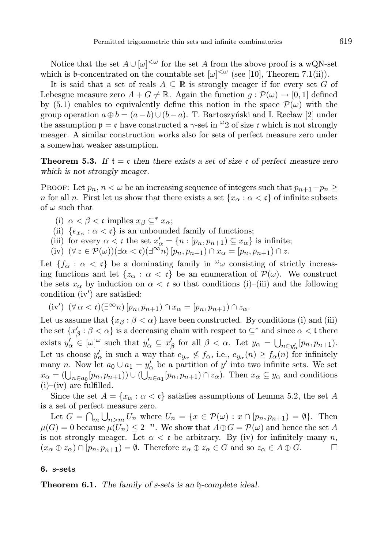Notice that the set  $A \cup [\omega]^{<\omega}$  for the set A from the above proof is a wQN-set which is b-concentrated on the countable set  $[\omega]^{<\omega}$  (see [10], Theorem 7.1(ii)).

It is said that a set of reals  $A \subseteq \mathbb{R}$  is strongly meager if for every set G of Lebesgue measure zero  $A + G \neq \mathbb{R}$ . Again the function  $q : \mathcal{P}(\omega) \to [0, 1]$  defined by (5.1) enables to equivalently define this notion in the space  $\mathcal{P}(\omega)$  with the group operation  $a \oplus b = (a - b) \cup (b - a)$ . T. Bartoszyński and I. Recław [2] under the assumption  $p = c$  have constructed a  $\gamma$ -set in  $\omega_2$  of size c which is not strongly meager. A similar construction works also for sets of perfect measure zero under a somewhat weaker assumption.

**Theorem 5.3.** If  $t = c$  then there exists a set of size c of perfect measure zero which is not strongly meager.

PROOF: Let  $p_n$ ,  $n < \omega$  be an increasing sequence of integers such that  $p_{n+1}-p_n \ge$ n for all n. First let us show that there exists a set  $\{x_\alpha : \alpha < \mathfrak{c}\}\$  of infinite subsets of  $\omega$  such that

- (i)  $\alpha < \beta < \mathfrak{c}$  implies  $x_{\beta} \subseteq^* x_{\alpha};$
- (ii)  ${e_x \dots a < \mathfrak{c}}$  is an unbounded family of functions;
- (iii) for every  $\alpha < \mathfrak{c}$  the set  $x'_{\alpha} = \{n : [p_n, p_{n+1}) \subseteq x_{\alpha}\}\)$  is infinite;
- (iv)  $(\forall z \in \mathcal{P}(\omega))(\exists \alpha < \mathfrak{c})(\exists^{\infty} n) [p_n, p_{n+1}) \cap x_{\alpha} = [p_n, p_{n+1}) \cap z.$

Let  ${f_\alpha : \alpha < c}$  be a dominating family in  $\omega$  consisting of strictly increasing functions and let  $\{z_\alpha : \alpha < \mathfrak{c}\}\)$  be an enumeration of  $\mathcal{P}(\omega)$ . We construct the sets  $x_{\alpha}$  by induction on  $\alpha < \mathfrak{c}$  so that conditions (i)–(iii) and the following condition (iv′ ) are satisfied:

$$
(iv')\ (\forall \alpha < c)(\exists^{\infty} n) [p_n, p_{n+1}) \cap x_{\alpha} = [p_n, p_{n+1}) \cap z_{\alpha}.
$$

Let us assume that  $\{x_\beta : \beta < \alpha\}$  have been constructed. By conditions (i) and (iii) the set  $\{x'_\beta:\beta<\alpha\}$  is a decreasing chain with respect to  $\subseteq^*$  and since  $\alpha<\mathfrak{t}$  there exists  $y'_\alpha \in [\omega]^\omega$  such that  $y'_\alpha \subseteq x'_\beta$  for all  $\beta < \alpha$ . Let  $y_\alpha = \bigcup_{n \in y'_\alpha} [p_n, p_{n+1}).$ Let us choose  $y'_{\alpha}$  in such a way that  $e_{y_{\alpha}} \nleq f_{\alpha}$ , i.e.,  $e_{y_{\alpha}}(n) \geq f_{\alpha}(n)$  for infinitely many *n*. Now let  $a_0 \cup a_1 = y'_\alpha$  be a partition of y' into two infinite sets. We set  $x_{\alpha} = (\bigcup_{n \in a_0} [p_n, p_{n+1})) \cup (\bigcup_{n \in a_1} [p_n, p_{n+1}) \cap z_{\alpha}).$  Then  $x_{\alpha} \subseteq y_{\alpha}$  and conditions  $(i)$ – $(iv)$  are fulfilled.

Since the set  $A = \{x_\alpha : \alpha < \mathfrak{c}\}\$  satisfies assumptions of Lemma 5.2, the set A is a set of perfect measure zero.

Let  $G = \bigcap_m \bigcup_{n>m} U_n$  where  $U_n = \{x \in \mathcal{P}(\omega) : x \cap [p_n, p_{n+1}) = \emptyset\}$ . Then  $\mu(G) = 0$  because  $\mu(U_n) \leq 2^{-n}$ . We show that  $A \oplus G = \mathcal{P}(\omega)$  and hence the set A is not strongly meager. Let  $\alpha < \mathfrak{c}$  be arbitrary. By (iv) for infinitely many n,  $(x_\alpha \oplus z_\alpha) \cap [p_n, p_{n+1}) = \emptyset$ . Therefore  $x_\alpha \oplus z_\alpha \in G$  and so  $z_\alpha \in A \oplus G$ .

#### 6. s-sets

Theorem 6.1. The family of s-sets is an  $\mathfrak h$ -complete ideal.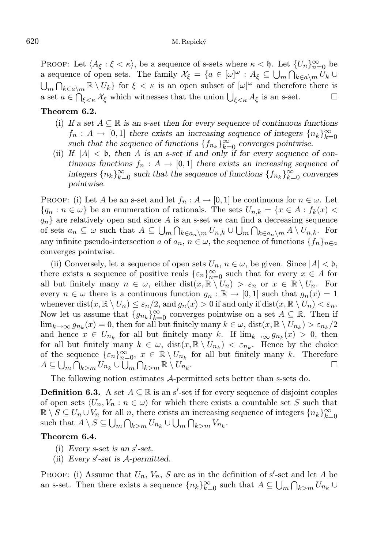PROOF: Let  $\langle A_{\xi} : \xi < \kappa \rangle$ , be a sequence of s-sets where  $\kappa < \mathfrak{h}$ . Let  $\{U_n\}_{n=0}^{\infty}$  be a sequence of open sets. The family  $\mathcal{X}_{\xi} = \{a \in [\omega]^{\omega} : A_{\xi} \subseteq \bigcup_{m} \bigcap_{k \in \alpha \setminus m} U_k \cup$  $\bigcup_m \bigcap_{k \in a\setminus m} \mathbb{R} \setminus U_k$  for  $\xi < \kappa$  is an open subset of  $[\omega]^\omega$  and therefore there is a set  $a \in \bigcap_{\xi < \kappa} \mathcal{X}_\xi$  which witnesses that the union  $\bigcup_{\xi < \kappa} A_\xi$  is an s-set.

## Theorem 6.2.

- (i) If a set  $A \subseteq \mathbb{R}$  is an s-set then for every sequence of continuous functions  $f_n: A \to [0,1]$  there exists an increasing sequence of integers  $\{n_k\}_{k=0}^{\infty}$  such that the sequence of functions  $\{f_{n_k}\}_{k=0}^{\infty}$  converges pointwise.
- (ii) If  $|A| < b$ , then A is an s-set if and only if for every sequence of continuous functions  $f_n: A \to [0,1]$  there exists an increasing sequence of integers  ${n_k}_{k=0}^{\infty}$  such that the sequence of functions  ${f_{n_k}}_{k=0}^{\infty}$  converges pointwise.

**PROOF:** (i) Let A be an s-set and let  $f_n : A \to [0, 1]$  be continuous for  $n \in \omega$ . Let  ${q_n : n \in \omega}$  be an enumeration of rationals. The sets  $U_{n,k} = {x \in A : f_k(x)$  $q_n$  are relatively open and since A is an s-set we can find a decreasing sequence of sets  $a_n \subseteq \omega$  such that  $A \subseteq \bigcup_m \bigcap_{k \in a_n \setminus m} U_{n,k} \cup \bigcup_m \bigcap_{k \in a_n \setminus m} A \setminus U_{n,k}$ . For any infinite pseudo-intersection a of  $a_n$ ,  $n \in \omega$ , the sequence of functions  $\{f_n\}_{n \in \alpha}$ converges pointwise.

(ii) Conversely, let a sequence of open sets  $U_n$ ,  $n \in \omega$ , be given. Since  $|A| < \mathfrak{b}$ , there exists a sequence of positive reals  $\{\varepsilon_n\}_{n=0}^{\infty}$  such that for every  $x \in A$  for all but finitely many  $n \in \omega$ , either dist $(x, \mathbb{R} \setminus U_n) > \varepsilon_n$  or  $x \in \mathbb{R} \setminus U_n$ . For every  $n \in \omega$  there is a continuous function  $g_n : \mathbb{R} \to [0,1]$  such that  $g_n(x) = 1$ whenever  $dist(x, \mathbb{R} \setminus U_n) \leq \varepsilon_n/2$ , and  $g_n(x) > 0$  if and only if  $dist(x, \mathbb{R} \setminus U_n) < \varepsilon_n$ . Now let us assume that  $\{g_{n_k}\}_{k=0}^{\infty}$  converges pointwise on a set  $A \subseteq \mathbb{R}$ . Then if  $\lim_{k\to\infty} g_{n_k}(x) = 0$ , then for all but finitely many  $k \in \omega$ ,  $dist(x, \mathbb{R} \setminus U_{n_k}) > \varepsilon_{n_k}/2$ and hence  $x \in U_{n_k}$  for all but finitely many k. If  $\lim_{k \to \infty} g_{n_k}(x) > 0$ , then for all but finitely many  $k \in \omega$ ,  $dist(x, \mathbb{R} \setminus U_{n_k}) < \varepsilon_{n_k}$ . Hence by the choice of the sequence  $\{\varepsilon_n\}_{n=0}^{\infty}$ ,  $x \in \mathbb{R} \setminus U_{n_k}$  for all but finitely many k. Therefore  $A\subseteq\bigcup_m\bigcap_{k>m}U_{n_k}\cup\bigcup_m\bigcap_{k>m}\mathbb{R}\setminus U_{n_k}$ .

The following notion estimates A-permitted sets better than s-sets do.

**Definition 6.3.** A set  $A \subseteq \mathbb{R}$  is an s'-set if for every sequence of disjoint couples of open sets  $\langle U_n, V_n : n \in \omega \rangle$  for which there exists a countable set S such that  $\mathbb{R} \setminus S \subseteq U_n \cup V_n$  for all n, there exists an increasing sequence of integers  $\{n_k\}_{k=0}^{\infty}$ such that  $A \setminus S \subseteq \bigcup_m \bigcap_{k>m} U_{n_k} \cup \bigcup_m \bigcap_{k>m} V_{n_k}$ .

## Theorem 6.4.

- (i) Every s-set is an  $s'$ -set.
- (ii) Every  $s'$ -set is  $A$ -permitted.

PROOF: (i) Assume that  $U_n$ ,  $V_n$ , S are as in the definition of s'-set and let A be an s-set. Then there exists a sequence  ${n_k}_{k=0}^{\infty}$  such that  $A \subseteq \bigcup_m \bigcap_{k>m} U_{n_k} \cup$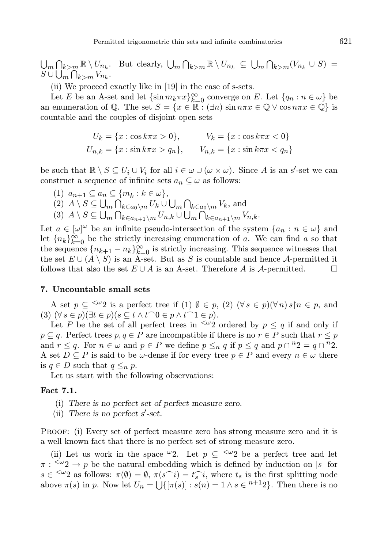$\bigcup_m \bigcap_{k>m} \mathbb{R} \setminus U_{n_k}$ . But clearly,  $\bigcup_m \bigcap_{k>m} \mathbb{R} \setminus U_{n_k} \subseteq \bigcup_m \bigcap_{k>m} (V_{n_k} \cup S) =$  $S \cup \bigcup_m \bigcap_{k>m} V_{n_k}.$ 

(ii) We proceed exactly like in [19] in the case of s-sets.

Let E be an A-set and let  $\{\sin m_k \pi x\}_{k=0}^{\infty}$  converge on E. Let  $\{q_n : n \in \omega\}$  be an enumeration of Q. The set  $S = \{x \in \mathbb{R} : (\exists n) \sin n\pi x \in \mathbb{Q} \vee \cos n\pi x \in \mathbb{Q}\}\)$  is countable and the couples of disjoint open sets

$$
U_k = \{x : \cos k\pi x > 0\}, \qquad V_k = \{x : \cos k\pi x < 0\}
$$
  

$$
U_{n,k} = \{x : \sin k\pi x > q_n\}, \qquad V_{n,k} = \{x : \sin k\pi x < q_n\}
$$

be such that  $\mathbb{R} \setminus S \subseteq U_i \cup V_i$  for all  $i \in \omega \cup (\omega \times \omega)$ . Since A is an s'-set we can construct a sequence of infinite sets  $a_n \subseteq \omega$  as follows:

(1)  $a_{n+1} \subseteq a_n \subseteq \{m_k : k \in \omega\},\$ (2)  $A \setminus S \subseteq \bigcup_m \bigcap_{k \in a_0 \setminus m} U_k \cup \bigcup_m \bigcap_{k \in a_0 \setminus m} V_k$ , and (3)  $A \setminus S \subseteq \bigcup_m \bigcap_{k \in a_{n+1} \setminus m} U_{n,k} \cup \bigcup_m \bigcap_{k \in a_{n+1} \setminus m} V_{n,k}.$ 

Let  $a \in [\omega]^\omega$  be an infinite pseudo-intersection of the system  $\{a_n : n \in \omega\}$  and let  ${n_k}_{k=0}^{\infty}$  be the strictly increasing enumeration of a. We can find a so that the sequence  ${n_{k+1} - n_k}_{k=0}^{\infty}$  is strictly increasing. This sequence witnesses that the set  $E \cup (A \setminus S)$  is an A-set. But as S is countable and hence A-permitted it follows that also the set  $E \cup A$  is an A-set. Therefore A is A-permitted.  $\square$ 

## 7. Uncountable small sets

A set  $p \subseteq \langle \omega_2 \rangle$  is a perfect tree if (1)  $\emptyset \in p$ , (2)  $(\forall s \in p)(\forall n) s \nvert n \in p$ , and (3)  $(\forall s \in p)(\exists t \in p)(s \subseteq t \land t^\frown 0 \in p \land t^\frown 1 \in p).$ 

Let P be the set of all perfect trees in  $\frac{1}{2}$  ordered by  $p \leq q$  if and only if  $p \subseteq q$ . Perfect trees  $p, q \in P$  are incompatible if there is no  $r \in P$  such that  $r \leq p$ and  $r \leq q$ . For  $n \in \omega$  and  $p \in P$  we define  $p \leq_n q$  if  $p \leq q$  and  $p \cap {^n}2 = q \cap {^n}2$ . A set  $D \subseteq P$  is said to be  $\omega$ -dense if for every tree  $p \in P$  and every  $n \in \omega$  there is  $q \in D$  such that  $q \leq_n p$ .

Let us start with the following observations:

## Fact 7.1.

- (i) There is no perfect set of perfect measure zero.
- (ii) There is no perfect  $s'$ -set.

Proof: (i) Every set of perfect measure zero has strong measure zero and it is a well known fact that there is no perfect set of strong measure zero.

(ii) Let us work in the space  $\omega_2$ . Let  $p \subseteq \langle \omega_2 \rangle$  be a perfect tree and let  $\pi : \langle \omega_2 \rangle \to p$  be the natural embedding which is defined by induction on |s| for  $s \in \langle \omega_2 \rangle$  as follows:  $\pi(\emptyset) = \emptyset$ ,  $\pi(s \cap i) = t_s \cap i$ , where  $t_s$  is the first splitting node above  $\pi(s)$  in p. Now let  $U_n = \bigcup \{ [\pi(s)] : s(n) = 1 \land s \in {}^{n+1}2 \}$ . Then there is no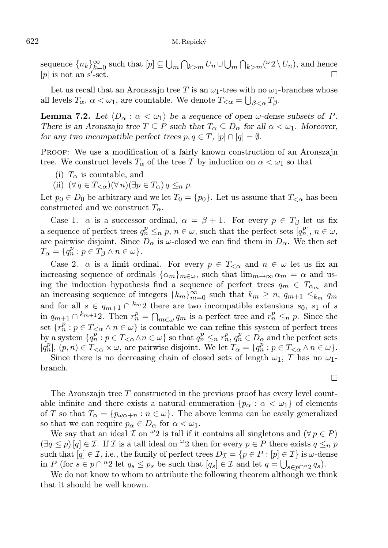sequence  ${n_k}_{k=0}^{\infty}$  such that  $[p] \subseteq \bigcup_m \bigcap_{k>m} U_n \cup \bigcup_m \bigcap_{k>m} (\omega_2 \setminus U_n)$ , and hence  $[p]$  is not an s'-set.  $-set.$ 

Let us recall that an Aronszajn tree T is an  $\omega_1$ -tree with no  $\omega_1$ -branches whose all levels  $T_{\alpha}$ ,  $\alpha < \omega_1$ , are countable. We denote  $T_{<\alpha} = \bigcup_{\beta<\alpha} T_{\beta}$ .

**Lemma 7.2.** Let  $\langle D_{\alpha} : \alpha < \omega_1 \rangle$  be a sequence of open  $\omega$ -dense subsets of P. There is an Aronszajn tree  $T \subseteq P$  such that  $T_\alpha \subseteq D_\alpha$  for all  $\alpha < \omega_1$ . Moreover, for any two incompatible perfect trees  $p, q \in T$ ,  $[p] \cap [q] = \emptyset$ .

PROOF: We use a modification of a fairly known construction of an Aronszajn tree. We construct levels  $T_{\alpha}$  of the tree T by induction on  $\alpha < \omega_1$  so that

- (i)  $T_{\alpha}$  is countable, and
- (ii)  $(\forall q \in T_{\leq \alpha})(\forall n)(\exists p \in T_{\alpha}) q \leq_n p$ .

Let  $p_0 \in D_0$  be arbitrary and we let  $T_0 = \{p_0\}$ . Let us assume that  $T_{\leq \alpha}$  has been constructed and we construct  $T_{\alpha}$ .

Case 1.  $\alpha$  is a successor ordinal,  $\alpha = \beta + 1$ . For every  $p \in T_{\beta}$  let us fix a sequence of perfect trees  $q_n^p \leq_n p, n \in \omega$ , such that the perfect sets  $[q_n^p], n \in \omega$ , are pairwise disjoint. Since  $D_{\alpha}$  is  $\omega$ -closed we can find them in  $D_{\alpha}$ . We then set  $T_{\alpha} = \{q_n^p : p \in T_{\beta} \wedge n \in \omega \}.$ 

Case 2.  $\alpha$  is a limit ordinal. For every  $p \in T_{\leq \alpha}$  and  $n \in \omega$  let us fix an increasing sequence of ordinals  $\{\alpha_m\}_{m\in\omega}$ , such that  $\lim_{m\to\infty} \alpha_m = \alpha$  and using the induction hypothesis find a sequence of perfect trees  $q_m \in T_{\alpha_m}$  and an increasing sequence of integers  ${k_m}_{m=0}^{\infty}$  such that  $k_m \geq n$ ,  $q_{m+1} \leq_{k_m}^{\infty} q_m$ and for all  $s \in q_{m+1} \cap {}^{k_m}2$  there are two incompatible extensions  $s_0, s_1$  of s in  $q_{m+1} \cap {}^{k_{m+1}}2$ . Then  $r_n^p = \bigcap_{m \in \omega} q_m$  is a perfect tree and  $r_n^p \leq_n p$ . Since the set  $\{r_n^p : p \in T_{\leq \alpha} \wedge n \in \omega\}$  is countable we can refine this system of perfect trees by a system  $\{q_n^p : p \in T_{\leq \alpha} \land n \in \omega\}$  so that  $q_n^p \leq_n r_n^p$ ,  $q_n^p \in D_\alpha$  and the perfect sets  $[q_n^p]$ ,  $(p, n) \in T_{\leq \alpha} \times \omega$ , are pairwise disjoint. We let  $T_{\alpha} = \{q_n^p : p \in T_{\leq \alpha} \wedge n \in \omega\}$ .

Since there is no decreasing chain of closed sets of length  $\omega_1$ , T has no  $\omega_1$ branch.

The Aronszajn tree T constructed in the previous proof has every level countable infinite and there exists a natural enumeration  $\{p_{\alpha} : \alpha < \omega_1\}$  of elements of T so that  $T_{\alpha} = \{p_{\omega \alpha+n} : n \in \omega\}$ . The above lemma can be easily generalized so that we can require  $p_{\alpha} \in D_{\alpha}$  for  $\alpha < \omega_1$ .

We say that an ideal  $\mathcal I$  on  $\omega_2$  is tall if it contains all singletons and  $(\forall p \in P)$  $(\exists q \leq p) [q] \in \mathcal{I}$ . If  $\mathcal I$  is a tall ideal on  $\omega$  then for every  $p \in P$  there exists  $q \leq_n p$ such that  $[q] \in \mathcal{I}$ , i.e., the family of perfect trees  $D_{\mathcal{I}} = \{p \in P : [p] \in \mathcal{I}\}\$ is  $\omega$ -dense in P (for  $s \in p \cap {}^n2$  let  $q_s \leq p_s$  be such that  $[q_s] \in \mathcal{I}$  and let  $q = \bigcup_{s \in p \cap {}^n2} q_s$ ).

We do not know to whom to attribute the following theorem although we think that it should be well known.

$$
\Box
$$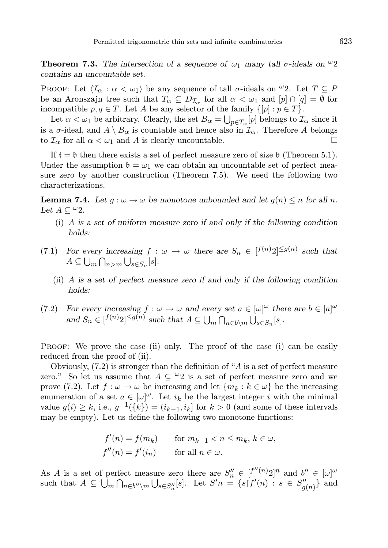**Theorem 7.3.** The intersection of a sequence of  $\omega_1$  many tall  $\sigma$ -ideals on  $\omega_2$ contains an uncountable set.

PROOF: Let  $\langle \mathcal{I}_{\alpha} : \alpha < \omega_1 \rangle$  be any sequence of tall  $\sigma$ -ideals on  $\omega_2$ . Let  $T \subseteq P$ be an Aronszajn tree such that  $T_{\alpha} \subseteq D_{\mathcal{I}_{\alpha}}$  for all  $\alpha < \omega_1$  and  $[p] \cap [q] = \emptyset$  for incompatible  $p, q \in T$ . Let A be any selector of the family  $\{[p] : p \in T\}$ .

Let  $\alpha < \omega_1$  be arbitrary. Clearly, the set  $B_{\alpha} = \bigcup_{p \in T_{\alpha}} [p]$  belongs to  $\mathcal{I}_{\alpha}$  since it is a  $\sigma$ -ideal, and  $A \setminus B_\alpha$  is countable and hence also in  $\mathcal{I}_\alpha$ . Therefore A belongs to  $\mathcal{I}_{\alpha}$  for all  $\alpha < \omega_1$  and A is clearly uncountable.

If  $t = \mathfrak{b}$  then there exists a set of perfect measure zero of size  $\mathfrak{b}$  (Theorem 5.1). Under the assumption  $\mathfrak{b} = \omega_1$  we can obtain an uncountable set of perfect measure zero by another construction (Theorem 7.5). We need the following two characterizations.

**Lemma 7.4.** Let  $q : \omega \to \omega$  be monotone unbounded and let  $q(n) \leq n$  for all n. Let  $A \subset \omega_2$ .

- (i) A is a set of uniform measure zero if and only if the following condition holds:
- (7.1) For every increasing  $f : \omega \to \omega$  there are  $S_n \in [f^{(n)}2]^{\leq g(n)}$  such that  $A \subseteq \bigcup_m \bigcap_{n>m} \bigcup_{s \in S_n} [s].$ 
	- (ii) A is a set of perfect measure zero if and only if the following condition holds:
- (7.2) For every increasing  $f : \omega \to \omega$  and every set  $a \in [\omega]^\omega$  there are  $b \in [a]^\omega$ and  $S_n \in [f^{(n)}2]^{\leq g(n)}$  such that  $A \subseteq \bigcup_m \bigcap_{n \in b \setminus m} \bigcup_{s \in S_n} [s]$ .

PROOF: We prove the case (ii) only. The proof of the case (i) can be easily reduced from the proof of (ii).

Obviously, (7.2) is stronger than the definition of "A is a set of perfect measure zero." So let us assume that  $A \subseteq \omega_2$  is a set of perfect measure zero and we prove (7.2). Let  $f : \omega \to \omega$  be increasing and let  $\{m_k : k \in \omega\}$  be the increasing enumeration of a set  $a \in [\omega]^\omega$ . Let  $i_k$  be the largest integer i with the minimal value  $g(i) \geq k$ , i.e.,  $g^{-1}(\lbrace k \rbrace) = (i_{k-1}, i_k]$  for  $k > 0$  (and some of these intervals may be empty). Let us define the following two monotone functions:

$$
f'(n) = f(m_k) \quad \text{for } m_{k-1} < n \le m_k, \, k \in \omega,
$$
\n
$$
f''(n) = f'(i_n) \quad \text{for all } n \in \omega.
$$

As A is a set of perfect measure zero there are  $S_n'' \in [f''(n)2]^n$  and  $b'' \in [\omega]^\omega$ such that  $A \subseteq \bigcup_m \bigcap_{n \in b'' \setminus m} \bigcup_{s \in S''_n}[s]$ . Let  $S'n = \{s \mid f'(n) : s \in S''_{g(n)}\}$  and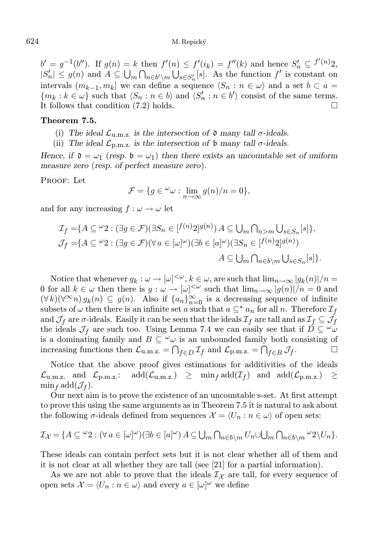$b' = g^{-1}(b'')$ . If  $g(n) = k$  then  $f'(n) \le f'(i_k) = f''(k)$  and hence  $S'_n \subseteq f'(n)$ ,  $|S'_n| \leq g(n)$  and  $A \subseteq \bigcup_m \bigcap_{n \in b' \setminus m} \bigcup_{s \in S'_n}[s]$ . As the function  $f'$  is constant on intervals  $(m_{k-1}, m_k]$  we can define a sequence  $\langle S_n : n \in \omega \rangle$  and a set  $b \subset a =$  $\{m_k : k \in \omega\}$  such that  $\langle S_n : n \in b \rangle$  and  $\langle S'_n : n \in b' \rangle$  consist of the same terms. It follows that condition (7.2) holds.

## Theorem 7.5.

- (i) The ideal  $\mathcal{L}_{u,m,z}$  is the intersection of  $\mathfrak d$  many tall  $\sigma$ -ideals.
- (ii) The ideal  $\mathcal{L}_{p,m,z}$  is the intersection of b many tall  $\sigma$ -ideals.

Hence, if  $\mathfrak{d} = \omega_1$  (resp.  $\mathfrak{b} = \omega_1$ ) then there exists an uncountable set of uniform measure zero (resp. of perfect measure zero).

PROOF: Let

$$
\mathcal{F} = \{ g \in {}^{\omega}\omega : \lim_{n \to \infty} g(n)/n = 0 \},\
$$

and for any increasing  $f : \omega \to \omega$  let

$$
\mathcal{I}_f = \{ A \subseteq \omega_2 : (\exists g \in \mathcal{F})(\exists S_n \in [f^{(n)}2]^{g(n)}) A \subseteq \bigcup_m \bigcap_{n > m} \bigcup_{s \in S_n} [s] \},
$$
  

$$
\mathcal{J}_f = \{ A \subseteq \omega_2 : (\exists g \in \mathcal{F})(\forall a \in [\omega]^\omega)(\exists b \in [a]^\omega)(\exists S_n \in [f^{(n)}2]^{g(n)})
$$
  

$$
A \subseteq \bigcup_m \bigcap_{n \in b \setminus m} \bigcup_{s \in S_n} [s] \}.
$$

Notice that whenever  $g_k: \omega \to [\omega]^{<\omega}, k \in \omega$ , are such that  $\lim_{n\to\infty} |g_k(n)|/n =$ 0 for all  $k \in \omega$  then there is  $g: \omega \to [\omega]^{<\omega}$  such that  $\lim_{n\to\infty} |g(n)|/n = 0$  and  $(\forall k)(\forall^{\infty} n) g_k(n) \subseteq g(n)$ . Also if  $\{a_n\}_{n=0}^{\infty}$  is a decreasing sequence of infinite subsets of  $\omega$  then there is an infinite set a such that  $a \subseteq^* a_n$  for all n. Therefore  $\mathcal{I}_f$ and  $\mathcal{J}_f$  are  $\sigma$ -ideals. Easily it can be seen that the ideals  $\mathcal{I}_f$  are tall and as  $\mathcal{I}_f \subseteq \mathcal{J}_f$ the ideals  $\mathcal{J}_f$  are such too. Using Lemma 7.4 we can easily see that if  $D \subseteq \omega$ is a dominating family and  $B \subseteq \omega$  is an unbounded family both consisting of increasing functions then  $\mathcal{L}_{u.m.z.} = \bigcap_{f \in D} \mathcal{I}_f$  and  $\mathcal{L}_{p.m.z.} = \bigcap_{f \in B} \mathcal{J}_f$ .

Notice that the above proof gives estimations for additivities of the ideals  $\mathcal{L}_{\text{u.m.z.}} \quad \text{and} \quad \mathcal{L}_{\text{p.m.z.}}; \quad \text{add}(\mathcal{L}_{\text{u.m.z.}}) \quad \geq \quad \min_f \text{add}(\mathcal{I}_f) \quad \text{and} \quad \text{add}(\mathcal{L}_{\text{p.m.z.}}) \quad \geq$  $\min_f \text{add}(\mathcal{J}_f).$ 

Our next aim is to prove the existence of an uncountable s-set. At first attempt to prove this using the same arguments as in Theorem 7.5 it is natural to ask about the following  $\sigma$ -ideals defined from sequences  $\mathcal{X} = \langle U_n : n \in \omega \rangle$  of open sets:

$$
\mathcal{I}_{\mathcal{X}} = \{ A \subseteq {}^{\omega}2 : (\forall a \in [\omega]^{\omega})(\exists b \in [a]^{\omega}) A \subseteq \bigcup_m \bigcap_{n \in b \setminus m} U_n \cup \bigcup_m \bigcap_{n \in b \setminus m} {}^{\omega}2 \setminus U_n \}.
$$

These ideals can contain perfect sets but it is not clear whether all of them and it is not clear at all whether they are tall (see [21] for a partial information).

As we are not able to prove that the ideals  $\mathcal{I}_{\chi}$  are tall, for every sequence of open sets  $\mathcal{X} = \langle U_n : n \in \omega \rangle$  and every  $a \in [\omega]^\omega$  we define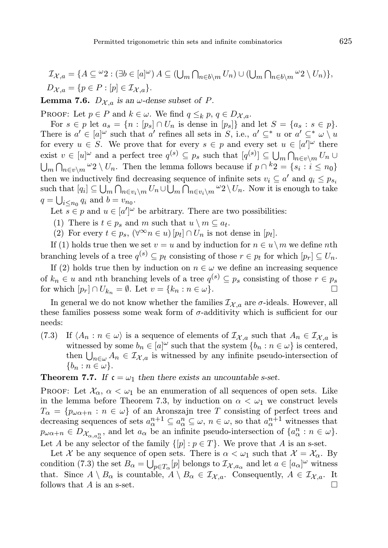**Lemma 7.6.**  $D_{\mathcal{X},a}$  is an  $\omega$ -dense subset of P.

PROOF: Let  $p \in P$  and  $k \in \omega$ . We find  $q \leq_k p, q \in D_{\mathcal{X},\alpha}$ .

For  $s \in p$  let  $a_s = \{n : [p_s] \cap U_n$  is dense in  $[p_s]\}$  and let  $S = \{a_s : s \in p\}.$ There is  $a' \in [a]^\omega$  such that  $a'$  refines all sets in S, i.e.,  $a' \subseteq^* u$  or  $a' \subseteq^* \omega \setminus u$ for every  $u \in S$ . We prove that for every  $s \in p$  and every set  $u \in [a']^{\omega}$  there exist  $v \in [u]^\omega$  and a perfect tree  $q^{(s)} \subseteq p_s$  such that  $[q^{(s)}] \subseteq \bigcup_m \bigcap_{n \in v \setminus m} U_n \cup$  $\bigcup_m \bigcap_{n \in v \setminus m} \omega_2 \setminus U_n$ . Then the lemma follows because if  $p \cap {}^k 2 = \{s_i : i \leq n_0\}$ then we inductively find decreasing sequence of infinite sets  $v_i \subseteq a'$  and  $q_i \leq p_{s_i}$ such that  $[q_i] \subseteq \bigcup_m \bigcap_{n \in v_i \setminus m} U_n \cup \bigcup_m \bigcap_{n \in v_i \setminus m} \omega_2 \setminus U_n$ . Now it is enough to take  $q = \bigcup_{i \leq n_0} q_i$  and  $b = v_{n_0}$ .

Let  $s \in p$  and  $u \in [a']^{\omega}$  be arbitrary. There are two possibilities:

- (1) There is  $t \in p_s$  and m such that  $u \setminus m \subseteq a_t$ .
- (2) For every  $t \in p_s$ ,  $(\forall^{\infty} n \in u)$   $[p_t] \cap U_n$  is not dense in  $[p_t]$ .

If (1) holds true then we set  $v = u$  and by induction for  $n \in u \setminus m$  we define nth branching levels of a tree  $q^{(s)} \subseteq p_t$  consisting of those  $r \in p_t$  for which  $[p_r] \subseteq U_n$ .

If (2) holds true then by induction on  $n \in \omega$  we define an increasing sequence of  $k_n \in u$  and nth branching levels of a tree  $q^{(s)} \subseteq p_s$  consisting of those  $r \in p_s$ for which  $[p_r] \cap U_{k_n} = \emptyset$ . Let  $v = \{k_n : n \in \omega\}$ .

In general we do not know whether the families  $\mathcal{I}_{\chi,a}$  are  $\sigma$ -ideals. However, all these families possess some weak form of  $\sigma$ -additivity which is sufficient for our needs:

(7.3) If  $\langle A_n : n \in \omega \rangle$  is a sequence of elements of  $\mathcal{I}_{\mathcal{X},a}$  such that  $A_n \in \mathcal{I}_{\mathcal{X},a}$  is witnessed by some  $b_n \in [a]^\omega$  such that the system  $\{b_n : n \in \omega\}$  is centered, then  $\bigcup_{n\in\omega} A_n \in \mathcal{I}_{\mathcal{X},a}$  is witnessed by any infinite pseudo-intersection of  $\{b_n : n \in \omega\}.$ 

**Theorem 7.7.** If  $c = \omega_1$  then there exists an uncountable s-set.

PROOF: Let  $\mathcal{X}_{\alpha}$ ,  $\alpha < \omega_1$  be an enumeration of all sequences of open sets. Like in the lemma before Theorem 7.3, by induction on  $\alpha < \omega_1$  we construct levels  $T_{\alpha} = \{p_{\omega\alpha+n} : n \in \omega\}$  of an Aronszajn tree T consisting of perfect trees and decreasing sequences of sets  $a_{\alpha}^{n+1} \subseteq a_{\alpha}^{n} \subseteq \omega$ ,  $n \in \omega$ , so that  $a_{\alpha}^{n+1}$  witnesses that  $p_{\omega\alpha+n} \in D_{\mathcal{X}_{\alpha,a_{\alpha}}^n}$ , and let  $a_{\alpha}$  be an infinite pseudo-intersection of  $\{a_{\alpha}^n : n \in \omega\}$ . Let A be any selector of the family  $\{[p] : p \in T\}$ . We prove that A is an s-set.

Let X be any sequence of open sets. There is  $\alpha < \omega_1$  such that  $\mathcal{X} = \mathcal{X}_{\alpha}$ . By condition (7.3) the set  $B_{\alpha} = \bigcup_{p \in T_{\alpha}} [p]$  belongs to  $\mathcal{I}_{\mathcal{X},a_{\alpha}}$  and let  $a \in [a_{\alpha}]^{\omega}$  witness that. Since  $A \setminus B_\alpha$  is countable,  $A \setminus B_\alpha \in \mathcal{I}_{\mathcal{X},a}$ . Consequently,  $A \in \mathcal{I}_{\mathcal{X},a}$ . It follows that A is an s-set.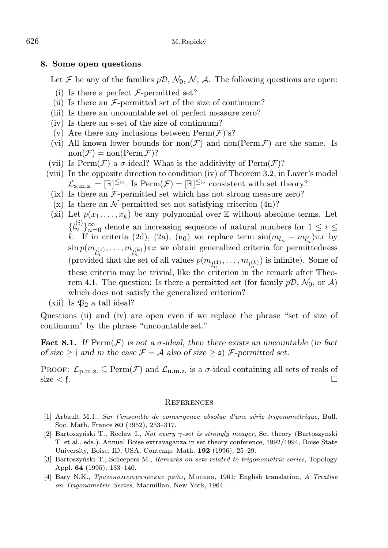#### 8. Some open questions

Let F be any of the families  $p\mathcal{D}, \mathcal{N}_0, \mathcal{N}, \mathcal{A}$ . The following questions are open:

- (i) Is there a perfect  $\mathcal{F}\text{-permitted set?}$
- (ii) Is there an  $\mathcal{F}\text{-permitted set of the size of continuum?}$
- (iii) Is there an uncountable set of perfect measure zero?
- (iv) Is there an s-set of the size of continuum?
- (v) Are there any inclusions between  $\text{Perm}(\mathcal{F})$ 's?
- (vi) All known lower bounds for non $(\mathcal{F})$  and non(Perm  $\mathcal{F}$ ) are the same. Is  $\text{non}(\mathcal{F}) = \text{non}(\text{Perm}\,\mathcal{F})$ ?
- (vii) Is  $\text{Perm}(\mathcal{F})$  a  $\sigma$ -ideal? What is the additivity of  $\text{Perm}(\mathcal{F})$ ?
- (viii) In the opposite direction to condition (iv) of Theorem 3.2, in Laver's model  $\mathcal{L}_{s.m.z.} = [\mathbb{R}]^{\leq \omega}$ . Is  $\text{Perm}(\mathcal{F}) = [\mathbb{R}]^{\leq \omega}$  consistent with set theory?
- (ix) Is there an  $F$ -permitted set which has not strong measure zero?
- (x) Is there an  $\mathcal N$ -permitted set not satisfying criterion  $(4n)$ ?
- (xi) Let  $p(x_1, \ldots, x_k)$  be any polynomial over  $\mathbb Z$  without absolute terms. Let  ${l_n^{(i)}}_{n=0}$  denote an increasing sequence of natural numbers for 1 ≤ i ≤ k. If in criteria (2d), (2a), (n<sub>0</sub>) we replace term  $\sin(m_{l_n} - m_{l'_n})\pi x$  by  $\sin p(m_{l_n^{(1)}}, \ldots, m_{l_n^{(k)}})\pi x$  we obtain generalized criteria for permittedness (provided that the set of all values  $p(m_{l_n^{(1)}}, \ldots, m_{l_n^{(k)}})$  is infinite). Some of these criteria may be trivial, like the criterion in the remark after Theorem 4.1. The question: Is there a permitted set (for family  $p\mathcal{D}, \mathcal{N}_0$ , or  $\mathcal{A}$ ) which does not satisfy the generalized criterion?
- (xii) Is  $\mathfrak{P}_2$  a tall ideal?

Questions (ii) and (iv) are open even if we replace the phrase "set of size of continuum" by the phrase "uncountable set."

**Fact 8.1.** If  $\text{Perm}(\mathcal{F})$  is not a  $\sigma$ -ideal, then there exists an uncountable (in fact of size  $\geq \mathfrak{f}$  and in the case  $\mathcal{F} = \mathcal{A}$  also of size  $\geq \mathfrak{s}$ )  $\mathcal{F}$ -permitted set.

PROOF:  $\mathcal{L}_{p,m,z} \subseteq \text{Perm}(\mathcal{F})$  and  $\mathcal{L}_{u,m,z}$  is a  $\sigma$ -ideal containing all sets of reals of size  $\lt f$ .

#### **REFERENCES**

- [1] Arbault M.J., Sur l'ensemble de convergence absolue d'une série trigonométrique, Bull. Soc. Math. France 80 (1952), 253–317.
- [2] Bartoszyński T., Recław I., Not every γ-set is strongly meager, Set theory (Bartoszynski T. et al., eds.). Annual Boise extravaganza in set theory conference, 1992/1994, Boise State University, Boise, ID, USA, Contemp. Math. 192 (1996), 25–29.
- [3] Bartoszyński T., Scheepers M., Remarks on sets related to trigonometric series, Topology Appl. 64 (1995), 133–140.
- [4] Bary N.K., *Tpuzonomempuveckue pridu*, Mockba, 1961; English translation, A Treatise on Trigonometric Series, Macmillan, New York, 1964.